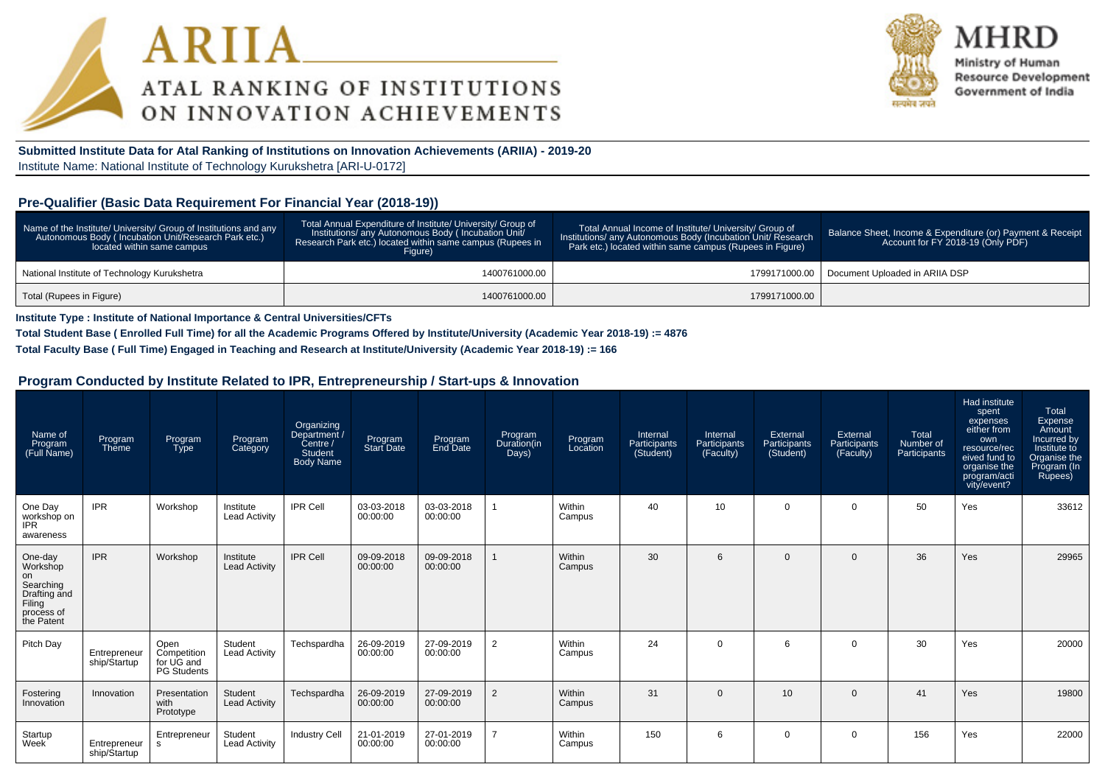



Ministry of Human **Resource Development** Government of India

**Submitted Institute Data for Atal Ranking of Institutions on Innovation Achievements (ARIIA) - 2019-20**Institute Name: National Institute of Technology Kurukshetra [ARI-U-0172]

#### **Pre-Qualifier (Basic Data Requirement For Financial Year (2018-19))**

| Name of the Institute/ University/ Group of Institutions and any<br>Autonomous Body (Incubation Unit/Research Park etc.)<br>located within same campus | Total Annual Expenditure of Institute/ University/ Group of<br>Institutions/ any Autonomous Body (Incubation Unit/<br>Research Park etc.) located within same campus (Rupees in<br>Figure) | Total Annual Income of Institute/ University/ Group of<br>Institutions/ any Autonomous Body (Incubation Unit/ Research<br>Park etc.) located within same campus (Rupees in Figure) | Balance Sheet, Income & Expenditure (or) Payment & Receipt<br>Account for FY 2018-19 (Only PDF) |
|--------------------------------------------------------------------------------------------------------------------------------------------------------|--------------------------------------------------------------------------------------------------------------------------------------------------------------------------------------------|------------------------------------------------------------------------------------------------------------------------------------------------------------------------------------|-------------------------------------------------------------------------------------------------|
| National Institute of Technology Kurukshetra                                                                                                           | 1400761000.00                                                                                                                                                                              |                                                                                                                                                                                    | 1799171000.00   Document Uploaded in ARIIA DSP                                                  |
| Total (Rupees in Figure)                                                                                                                               | 1400761000.00                                                                                                                                                                              | 1799171000.00                                                                                                                                                                      |                                                                                                 |

**Institute Type : Institute of National Importance & Central Universities/CFTs**

**Total Student Base ( Enrolled Full Time) for all the Academic Programs Offered by Institute/University (Academic Year 2018-19) := 4876**

**Total Faculty Base ( Full Time) Engaged in Teaching and Research at Institute/University (Academic Year 2018-19) := 166**

#### **Program Conducted by Institute Related to IPR, Entrepreneurship / Start-ups & Innovation**

| Name of<br>Program<br>(Full Name)                                                            | Program<br>Theme             | Program<br><b>Type</b>                                  | Program<br>Category               | Organizing<br>Department /<br>Centre /<br>Student<br><b>Body Name</b> | Program<br>Start Date  | Program<br>End Date    | Program<br>Duration(in<br>Days) | Program<br>Location | Internal<br>Participants<br>(Student) | Internal<br>Participants<br>(Faculty) | External<br>Participants<br>(Student) | External<br>Participants<br>(Faculty) | Total<br>Number of<br>Participants | Had institute<br>spent<br>expenses<br>either from<br>own<br>resource/rec<br>eived fund to<br>organise the<br>program/acti<br>vity/event? | Total<br>Expense<br>Amount<br>Incurred by<br>Institute to<br>Organise the<br>Program (In<br>Rupees) |
|----------------------------------------------------------------------------------------------|------------------------------|---------------------------------------------------------|-----------------------------------|-----------------------------------------------------------------------|------------------------|------------------------|---------------------------------|---------------------|---------------------------------------|---------------------------------------|---------------------------------------|---------------------------------------|------------------------------------|------------------------------------------------------------------------------------------------------------------------------------------|-----------------------------------------------------------------------------------------------------|
| One Day<br>workshop on<br><b>IPR</b><br>awareness                                            | <b>IPR</b>                   | Workshop                                                | Institute<br><b>Lead Activity</b> | <b>IPR Cell</b>                                                       | 03-03-2018<br>00:00:00 | 03-03-2018<br>00:00:00 |                                 | Within<br>Campus    | 40                                    | 10 <sup>10</sup>                      | $\Omega$                              | 0                                     | 50                                 | Yes                                                                                                                                      | 33612                                                                                               |
| One-day<br>Workshop<br>on<br>Searching<br>Drafting and<br>Filing<br>process of<br>the Patent | <b>IPR</b>                   | Workshop                                                | Institute<br><b>Lead Activity</b> | <b>IPR Cell</b>                                                       | 09-09-2018<br>00:00:00 | 09-09-2018<br>00:00:00 |                                 | Within<br>Campus    | 30                                    | 6                                     | $\Omega$                              | $\Omega$                              | 36                                 | Yes                                                                                                                                      | 29965                                                                                               |
| Pitch Day                                                                                    | Entrepreneur<br>ship/Startup | Open<br>Competition<br>for UG and<br><b>PG Students</b> | Student<br><b>Lead Activity</b>   | Techspardha                                                           | 26-09-2019<br>00:00:00 | 27-09-2019<br>00:00:00 | $\overline{2}$                  | Within<br>Campus    | 24                                    | $\Omega$                              | 6                                     | $\Omega$                              | 30                                 | Yes                                                                                                                                      | 20000                                                                                               |
| Fostering<br>Innovation                                                                      | Innovation                   | Presentation<br>with<br>Prototype                       | Student<br><b>Lead Activity</b>   | Techspardha                                                           | 26-09-2019<br>00:00:00 | 27-09-2019<br>00:00:00 | 2                               | Within<br>Campus    | 31                                    | $\Omega$                              | 10                                    | $\Omega$                              | 41                                 | Yes                                                                                                                                      | 19800                                                                                               |
| Startup<br>Week                                                                              | Entrepreneur<br>ship/Startup | Entrepreneur<br>s.                                      | Student<br><b>Lead Activity</b>   | <b>Industry Cell</b>                                                  | 21-01-2019<br>00:00:00 | 27-01-2019<br>00:00:00 | $\overline{7}$                  | Within<br>Campus    | 150                                   | 6                                     | $\Omega$                              | 0                                     | 156                                | Yes                                                                                                                                      | 22000                                                                                               |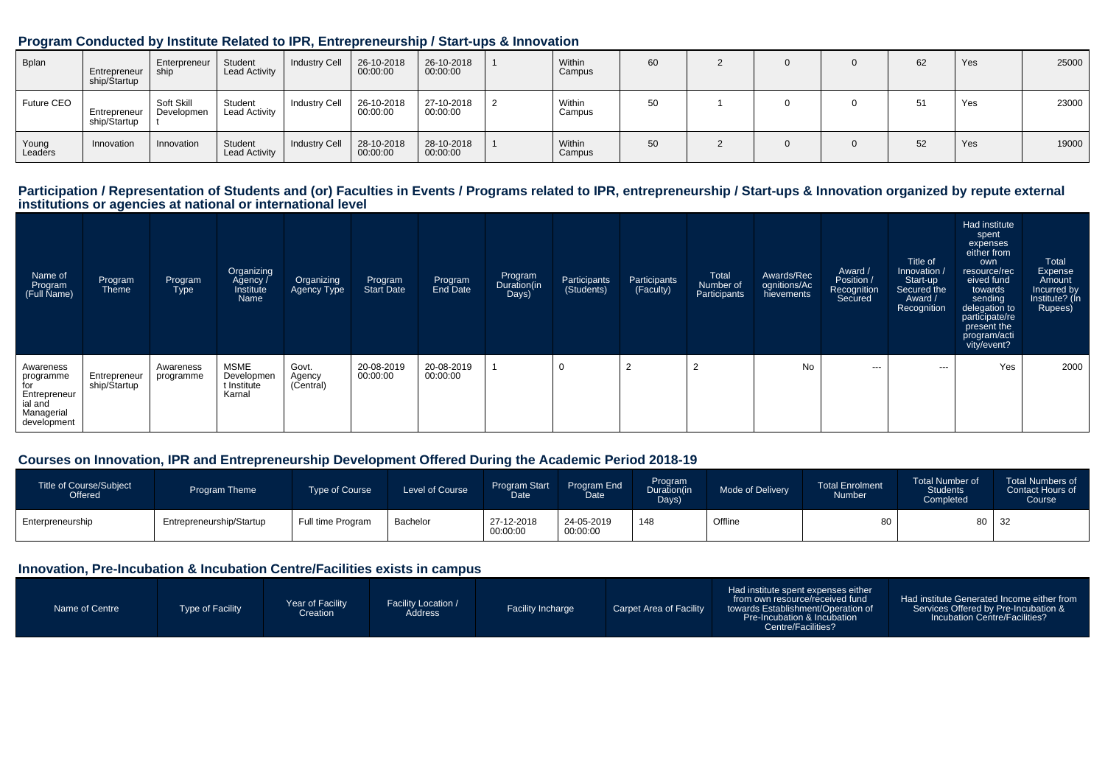|                  |                              |                          | Program Conducted by Institute Related to IPR, Entrepreneurship / Start-ups & Innovation |                      |                        |                        |                  |    |  |    |     |       |
|------------------|------------------------------|--------------------------|------------------------------------------------------------------------------------------|----------------------|------------------------|------------------------|------------------|----|--|----|-----|-------|
| <b>Bplan</b>     | Entrepreneur<br>ship/Startup | Enterpreneur<br>ship     | Student<br><b>Lead Activity</b>                                                          | <b>Industry Cell</b> | 26-10-2018<br>00:00:00 | 26-10-2018<br>00:00:00 | Within<br>Campus | 60 |  | 62 | Yes | 25000 |
| Future CEO       | Entrepreneur<br>ship/Startup | Soft Skill<br>Developmen | Student<br>Lead Activity                                                                 | <b>Industry Cell</b> | 26-10-2018<br>00:00:00 | 27-10-2018<br>00:00:00 | Within<br>Campus | 50 |  | 51 | Yes | 23000 |
| Young<br>Leaders | Innovation                   | Innovation               | Student<br><b>Lead Activity</b>                                                          | <b>Industry Cell</b> | 28-10-2018<br>00:00:00 | 28-10-2018<br>00:00:00 | Within<br>Campus | 50 |  | 52 | Yes | 19000 |

# Participation / Representation of Students and (or) Faculties in Events / Programs related to IPR, entrepreneurship / Start-ups & Innovation organized by repute external<br>institutions or agencies at national or internationa

| Name of<br>Program<br>(Full Name)                                                     | Program<br><b>Theme</b>       | Program<br><b>Type</b> | Organizing<br>Agency /<br>Institute<br>Name        | Organizing<br><b>Agency Type</b> | Program<br><b>Start Date</b> | Program<br>End Date    | Program<br>Duration(in<br>Days) | Participants<br>(Students) | Participants<br>(Faculty) | Total<br>Number of<br>Participants | Awards/Rec<br>ognitions/Ac<br>hievements | Award /<br>Position /<br>Recognition<br>Secured | Title of<br>Innovation /<br>Start-up<br>Secured the<br>Award /<br>Recognition | Had institute<br>spent<br>expenses<br>either from<br>own<br>resource/rec<br>eived fund<br>towards<br>sending<br>delegation to<br>participate/re<br>present the<br>program/acti<br>vity/event? | Total<br>Expense<br>Amount<br>Incurred by<br>Institute? (In<br>Rupees) |
|---------------------------------------------------------------------------------------|-------------------------------|------------------------|----------------------------------------------------|----------------------------------|------------------------------|------------------------|---------------------------------|----------------------------|---------------------------|------------------------------------|------------------------------------------|-------------------------------------------------|-------------------------------------------------------------------------------|-----------------------------------------------------------------------------------------------------------------------------------------------------------------------------------------------|------------------------------------------------------------------------|
| Awareness<br>programme<br>for<br>Entrepreneur<br>ial and<br>Managerial<br>development | Entrepreneur<br>ship/\$tartup | Awareness<br>programme | <b>MSME</b><br>Developmen<br>t Institute<br>Karnal | Govt.<br>Agency<br>(Central)     | 20-08-2019<br>00:00:00       | 20-08-2019<br>00:00:00 |                                 | υ                          | $\sim$<br>∠               | 2                                  | <b>No</b>                                | $\sim$ $\sim$                                   | $\cdots$                                                                      | Yes                                                                                                                                                                                           | 2000                                                                   |

#### **Courses on Innovation, IPR and Entrepreneurship Development Offered During the Academic Period 2018-19**

| Title of Course/Subject<br>Offered | Program Theme            | Type of Course    | Level of Course | <b>Program Start</b><br>Date | Program End<br>Date <sup>1</sup> | Program<br><b>Duration</b> (in<br>Days) | Mode of Delivery | <b>Total Enrolment</b><br>Number | Total Number of<br><b>Students</b><br>Completed | <b>Total Numbers of</b><br>Contact Hours of<br>Course |
|------------------------------------|--------------------------|-------------------|-----------------|------------------------------|----------------------------------|-----------------------------------------|------------------|----------------------------------|-------------------------------------------------|-------------------------------------------------------|
| Enterpreneurship                   | Entrepreneurship/Startup | Full time Program | Bachelor        | 27-12-2018<br>00:00:00       | 24-05-2019<br>00:00:00           | 148                                     | Offline          | ಕು                               | 80 <sub>1</sub>                                 | 32                                                    |

#### **Innovation, Pre-Incubation & Incubation Centre/Facilities exists in campus**

| Name of Centre | Type of Facility | Year of Facility<br>Creation | <b>Facility Location /</b><br>Address | <b>Facility Incharge</b> | Carpet Area of Facility | Had institute spent expenses either<br>from own resource/received fund<br>towards Establishment/Operation of<br><b>Pre-Incubation &amp; Incubation</b><br>Centre/Facilities? | Had institute Generated Income either from<br>Services Offered by Pre-Incubation &<br><b>Incubation Centre/Facilities?</b> |
|----------------|------------------|------------------------------|---------------------------------------|--------------------------|-------------------------|------------------------------------------------------------------------------------------------------------------------------------------------------------------------------|----------------------------------------------------------------------------------------------------------------------------|
|----------------|------------------|------------------------------|---------------------------------------|--------------------------|-------------------------|------------------------------------------------------------------------------------------------------------------------------------------------------------------------------|----------------------------------------------------------------------------------------------------------------------------|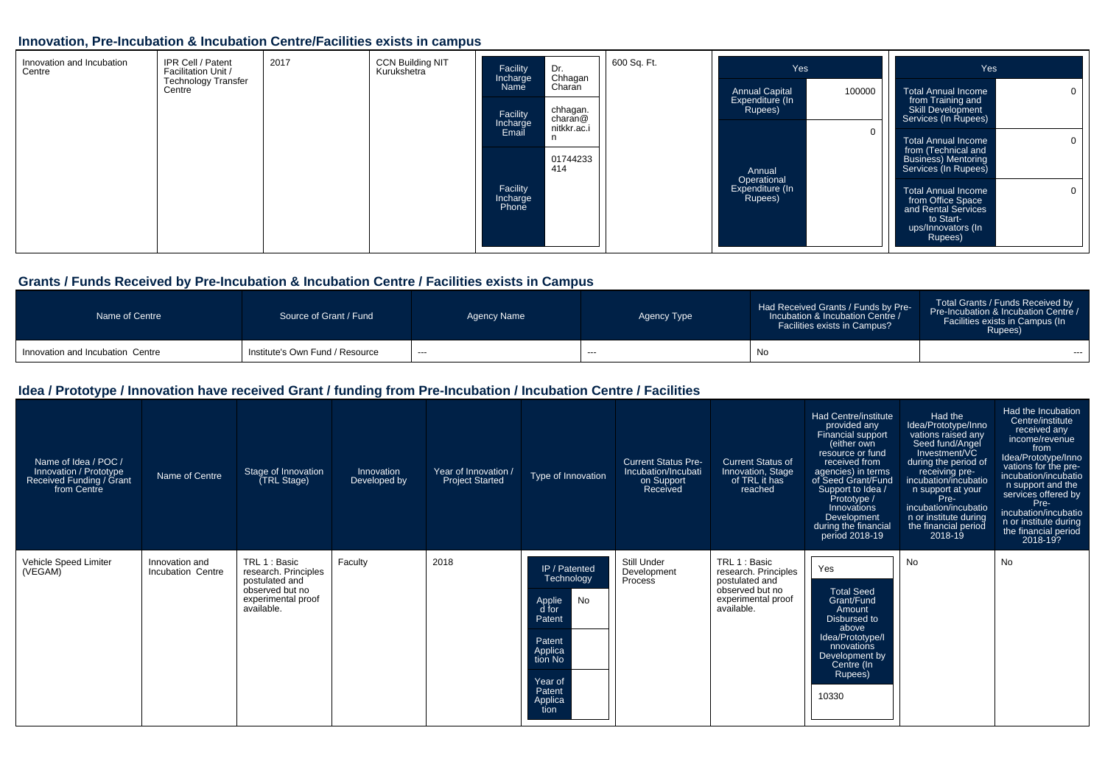#### **Innovation, Pre-Incubation & Incubation Centre/Facilities exists in campus**

| Innovation and Incubation<br>Centre | IPR Cell / Patent<br>Facilitation Unit / | 2017 | <b>CCN Building NIT</b><br>Kurukshetra | Facility<br>Incharge          | Dr.<br>Chhagan      | 600 Sq. Ft. | Yes                                       |        | Yes                                                                                                                                    |
|-------------------------------------|------------------------------------------|------|----------------------------------------|-------------------------------|---------------------|-------------|-------------------------------------------|--------|----------------------------------------------------------------------------------------------------------------------------------------|
|                                     | <b>Technology Transfer</b><br>Centre     |      |                                        | Name                          | Charan              |             | <b>Annual Capital</b>                     | 100000 | Total Annual Income<br>0 <sub>1</sub>                                                                                                  |
|                                     |                                          |      |                                        | Facility<br>Incharge          | chhagan.<br>charan@ |             | Expenditure (In<br>Rupees)                |        | from Training and<br><b>Skill Development</b><br>Services (In Rupees)                                                                  |
|                                     |                                          |      |                                        | Email                         | nitkkr.ac.i<br>n.   |             |                                           |        | $\overline{0}$<br><b>Total Annual Income</b>                                                                                           |
|                                     |                                          |      |                                        |                               | 01744233<br>414     |             | Annual                                    |        | from (Technical and<br><b>Business) Mentoring</b><br>Services (In Rupees)                                                              |
|                                     |                                          |      |                                        | Facility<br>Incharge<br>Phone |                     |             | Operational<br>Expenditure (In<br>Rupees) |        | <b>Total Annual Income</b><br>$\overline{0}$<br>from Office Space<br>and Rental Services<br>to Start-<br>ups/Innovators (In<br>Rupees) |

#### **Grants / Funds Received by Pre-Incubation & Incubation Centre / Facilities exists in Campus**

| Name of Centre                   | Source of Grant / Fund          | Agency Name | Agency Type | Had Received Grants / Funds by Pre-<br>Incubation & Incubation Centre /<br><b>Facilities exists in Campus?</b> | Total Grants / Funds Received by<br>Pre-Incubation & Incubation Centre /<br>Facilities exists in Campus (In<br>Rupees) |
|----------------------------------|---------------------------------|-------------|-------------|----------------------------------------------------------------------------------------------------------------|------------------------------------------------------------------------------------------------------------------------|
| Innovation and Incubation Centre | Institute's Own Fund / Resource | $--$        | $- - -$     | No                                                                                                             | $- - -$                                                                                                                |

#### **Idea / Prototype / Innovation have received Grant / funding from Pre-Incubation / Incubation Centre / Facilities**

| Name of Idea / POC /<br>Innovation / Prototype<br>Received Funding / Grant<br>from Centre | Name of Centre                      | Stage of Innovation<br>(TRL Stage)                                                                             | Innovation<br>Developed by | Year of Innovation /<br><b>Project Started</b> | Type of Innovation                                                                                                                     | <b>Current Status Pre-</b><br>Incubation/Incubati<br>on Support<br>Received | Current Status of<br>Innovation, Stage<br>of TRL it has<br>reached                                             | Had Centre/institute<br>provided any<br>Financial support<br>(either own<br>resource or fund<br>received from<br>agencies) in terms<br>of Seed Grant/Fund<br>Support to Idea /<br>Prototype /<br>Innovations<br>Development<br>during the financial<br>period 2018-19 | Had the<br>Idea/Prototype/Inno<br>vations raised any<br>Seed fund/Angel<br>Investment/VC<br>during the period of<br>receiving pre-<br>incubation/incubatio<br>n support at your<br>Pre-<br>incubation/incubatio<br>n or institute during<br>the financial period<br>2018-19 | Had the Incubation<br>Centre/institute<br>received any<br>income/revenue<br>from<br>Idea/Prototype/Inno<br>vations for the pre-<br>incubation/incubatio<br>n support and the<br>services offered by<br>Pre-<br>incubation/incubatio<br>n or institute during<br>the financial period<br>2018-19? |
|-------------------------------------------------------------------------------------------|-------------------------------------|----------------------------------------------------------------------------------------------------------------|----------------------------|------------------------------------------------|----------------------------------------------------------------------------------------------------------------------------------------|-----------------------------------------------------------------------------|----------------------------------------------------------------------------------------------------------------|-----------------------------------------------------------------------------------------------------------------------------------------------------------------------------------------------------------------------------------------------------------------------|-----------------------------------------------------------------------------------------------------------------------------------------------------------------------------------------------------------------------------------------------------------------------------|--------------------------------------------------------------------------------------------------------------------------------------------------------------------------------------------------------------------------------------------------------------------------------------------------|
| Vehicle Speed Limiter<br>(VEGAM)                                                          | Innovation and<br>Incubation Centre | TRL 1 : Basic<br>research. Principles<br>postulated and<br>observed but no<br>experimental proof<br>available. | Faculty                    | 2018                                           | IP / Patented<br>Technology<br>No<br>Applie<br>d for<br>Patent<br>Patent<br>Applica<br>tion No<br>Year of<br>Patent<br>Applica<br>tion | Still Under<br>Development<br>Process                                       | TRL 1 : Basic<br>research. Principles<br>postulated and<br>observed but no<br>experimental proof<br>available. | Yes<br><b>Total Seed</b><br>Grant/Fund<br>Amount<br>Disbursed to<br>above<br>Idea/Prototype/I<br>nnovations<br>Development by<br>Centre (In<br>Rupees)<br>10330                                                                                                       | No                                                                                                                                                                                                                                                                          | <b>No</b>                                                                                                                                                                                                                                                                                        |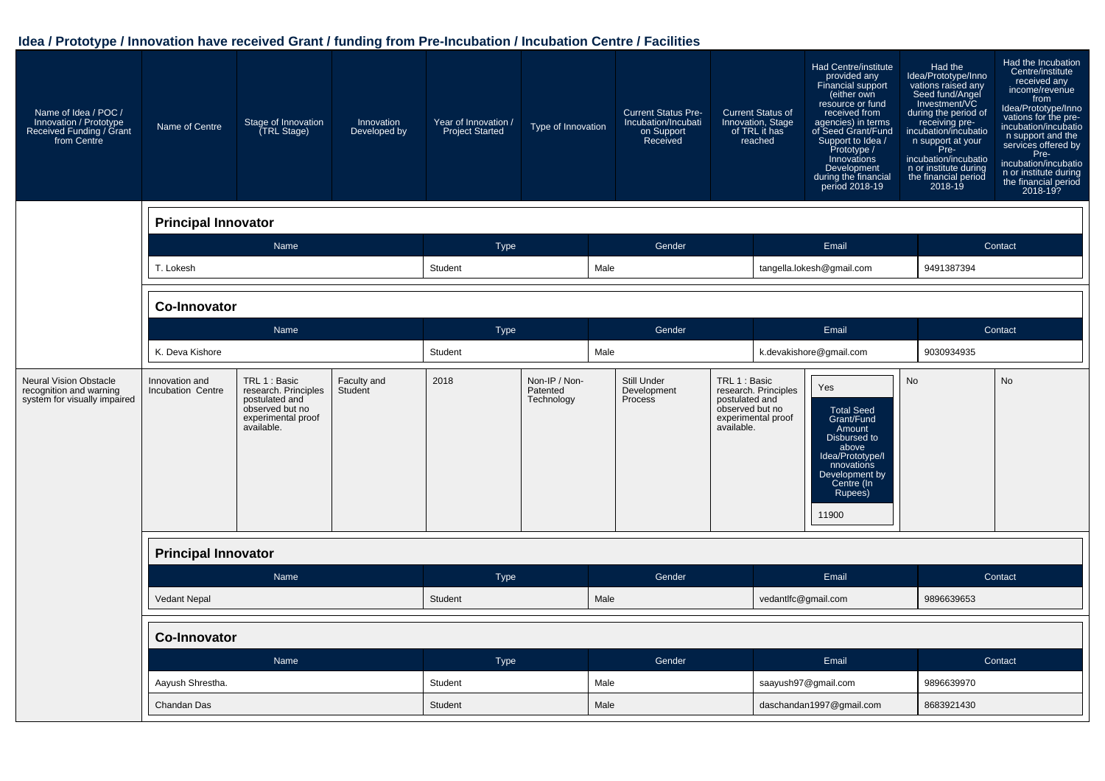#### **Idea / Prototype / Innovation have received Grant / funding from Pre-Incubation / Incubation Centre / Facilities**

| Name of Idea / POC /<br>Innovation / Prototype<br>Received Funding / Grant<br>from Centre | Name of Centre                      | Stage of Innovation<br>(TRL Stage)                                                                             | Innovation<br>Developed by | Year of Innovation /<br><b>Project Started</b> | Type of Innovation                      |      | <b>Current Status Pre-</b><br>Incubation/Incubati<br>on Support<br>Received |                                               | <b>Current Status of</b><br>Innovation, Stage<br>of TRL it has<br>reached | Had Centre/institute<br>provided any<br>Financial support<br>(either own<br>resource or fund<br>received from<br>agencies) in terms<br>of Seed Grant/Fund<br>Support to Idea /<br>Prototype /<br>Innovations<br>Development<br>during the financial<br>period 2018-19 | Had the<br>Idea/Prototype/Inno<br>vations raised any<br>Seed fund/Angel<br>Investment/VC<br>during the period of<br>receiving pre-<br>incubation/incubatio<br>n support at your<br>Pre-<br>incubation/incubatio<br>n or institute during<br>the financial period<br>2018-19 | Had the Incubation<br>Centre/institute<br>received any<br>income/revenue<br>from<br>Idea/Prototype/Inno<br>vations for the pre-<br>incubation/incubatio<br>n support and the<br>services offered by<br>Pre-<br>incubation/incubatio<br>n or institute during<br>the financial period<br>2018-19? |
|-------------------------------------------------------------------------------------------|-------------------------------------|----------------------------------------------------------------------------------------------------------------|----------------------------|------------------------------------------------|-----------------------------------------|------|-----------------------------------------------------------------------------|-----------------------------------------------|---------------------------------------------------------------------------|-----------------------------------------------------------------------------------------------------------------------------------------------------------------------------------------------------------------------------------------------------------------------|-----------------------------------------------------------------------------------------------------------------------------------------------------------------------------------------------------------------------------------------------------------------------------|--------------------------------------------------------------------------------------------------------------------------------------------------------------------------------------------------------------------------------------------------------------------------------------------------|
|                                                                                           | <b>Principal Innovator</b>          |                                                                                                                |                            |                                                |                                         |      |                                                                             |                                               |                                                                           |                                                                                                                                                                                                                                                                       |                                                                                                                                                                                                                                                                             |                                                                                                                                                                                                                                                                                                  |
|                                                                                           |                                     | Name                                                                                                           |                            | <b>Type</b>                                    |                                         |      | Gender                                                                      |                                               |                                                                           | Email                                                                                                                                                                                                                                                                 |                                                                                                                                                                                                                                                                             | Contact                                                                                                                                                                                                                                                                                          |
|                                                                                           | T. Lokesh                           |                                                                                                                |                            | Student                                        |                                         | Male |                                                                             |                                               |                                                                           | tangella.lokesh@gmail.com                                                                                                                                                                                                                                             | 9491387394                                                                                                                                                                                                                                                                  |                                                                                                                                                                                                                                                                                                  |
|                                                                                           | <b>Co-Innovator</b>                 |                                                                                                                |                            |                                                |                                         |      |                                                                             |                                               |                                                                           |                                                                                                                                                                                                                                                                       |                                                                                                                                                                                                                                                                             |                                                                                                                                                                                                                                                                                                  |
|                                                                                           |                                     | Name                                                                                                           |                            | <b>Type</b>                                    |                                         |      | Gender                                                                      |                                               |                                                                           | Email                                                                                                                                                                                                                                                                 |                                                                                                                                                                                                                                                                             | Contact                                                                                                                                                                                                                                                                                          |
|                                                                                           | K. Deva Kishore                     |                                                                                                                |                            | Student                                        |                                         | Male |                                                                             |                                               |                                                                           | k.devakishore@gmail.com                                                                                                                                                                                                                                               | 9030934935                                                                                                                                                                                                                                                                  |                                                                                                                                                                                                                                                                                                  |
| <b>Neural Vision Obstacle</b><br>recognition and warning<br>system for visually impaired  | Innovation and<br>Incubation Centre | TRL 1 : Basic<br>research. Principles<br>postulated and<br>observed but no<br>experimental proof<br>available. | Faculty and<br>Student     | 2018                                           | Non-IP / Non-<br>Patented<br>Technology |      | Still Under<br>Development<br>Process                                       | TRL 1 : Basic<br>postulated and<br>available. | research. Principles<br>observed but no<br>experimental proof             | Yes<br><b>Total Seed</b><br>Grant/Fund<br>Amount<br>Disbursed to<br>above<br>Idea/Prototype/I<br>nnovations<br>Development by<br>Centre (In<br>Rupees)<br>11900                                                                                                       | <b>No</b>                                                                                                                                                                                                                                                                   | <b>No</b>                                                                                                                                                                                                                                                                                        |
|                                                                                           | <b>Principal Innovator</b>          |                                                                                                                |                            |                                                |                                         |      |                                                                             |                                               |                                                                           |                                                                                                                                                                                                                                                                       |                                                                                                                                                                                                                                                                             |                                                                                                                                                                                                                                                                                                  |
|                                                                                           |                                     | Name                                                                                                           |                            | <b>Type</b>                                    |                                         |      | Gender                                                                      |                                               |                                                                           | Email                                                                                                                                                                                                                                                                 |                                                                                                                                                                                                                                                                             | Contact                                                                                                                                                                                                                                                                                          |
|                                                                                           | <b>Vedant Nepal</b>                 |                                                                                                                |                            | Student                                        |                                         | Male |                                                                             |                                               | vedantlfc@gmail.com                                                       |                                                                                                                                                                                                                                                                       | 9896639653                                                                                                                                                                                                                                                                  |                                                                                                                                                                                                                                                                                                  |
|                                                                                           | <b>Co-Innovator</b>                 |                                                                                                                |                            |                                                |                                         |      |                                                                             |                                               |                                                                           |                                                                                                                                                                                                                                                                       |                                                                                                                                                                                                                                                                             |                                                                                                                                                                                                                                                                                                  |
|                                                                                           |                                     | Name                                                                                                           |                            | <b>Type</b>                                    |                                         |      | Gender                                                                      |                                               |                                                                           | Email                                                                                                                                                                                                                                                                 |                                                                                                                                                                                                                                                                             | Contact                                                                                                                                                                                                                                                                                          |
|                                                                                           | Aayush Shrestha.                    |                                                                                                                |                            | Student                                        |                                         | Male |                                                                             |                                               |                                                                           | saayush97@gmail.com                                                                                                                                                                                                                                                   | 9896639970                                                                                                                                                                                                                                                                  |                                                                                                                                                                                                                                                                                                  |
|                                                                                           | Chandan Das                         |                                                                                                                |                            | Student                                        |                                         | Male |                                                                             |                                               |                                                                           | daschandan1997@gmail.com                                                                                                                                                                                                                                              | 8683921430                                                                                                                                                                                                                                                                  |                                                                                                                                                                                                                                                                                                  |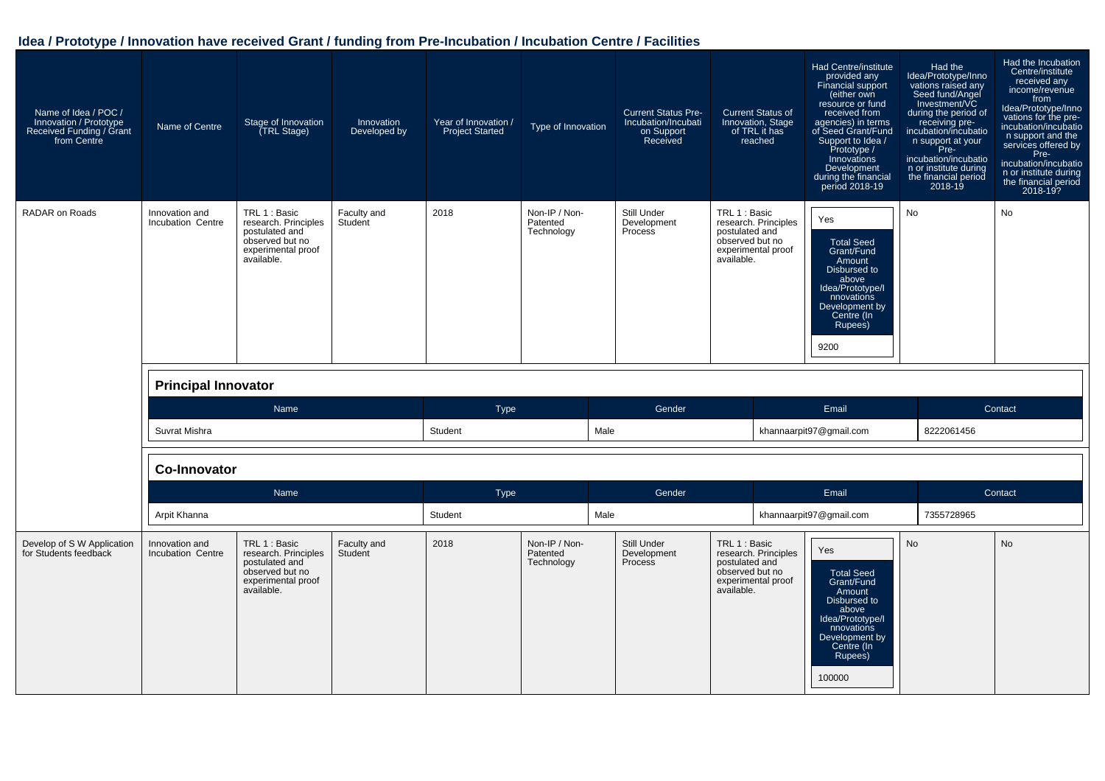#### **Idea / Prototype / Innovation have received Grant / funding from Pre-Incubation / Incubation Centre / Facilities**

| Name of Idea / POC /<br>Innovation / Prototype<br>Received Funding / Grant<br>from Centre | Name of Centre                      | Stage of Innovation<br>(TRL Stage)                                                                             | Innovation<br>Developed by | Year of Innovation /<br><b>Project Started</b> | Type of Innovation                      | <b>Current Status Pre-</b><br>Incubation/Incubati<br>on Support<br>Received | <b>Current Status of</b><br>Innovation, Stage<br>of TRL it has<br>reached                                      | Had Centre/institute<br>provided any<br>Financial support<br>(either own<br>resource or fund<br>received from<br>agencies) in terms<br>of Seed Grant/Fund<br>Support to Idea /<br>Prototype /<br>Innovations<br>Development<br>during the financial<br>period 2018-19 | Had the<br>Idea/Prototype/Inno<br>vations raised any<br>Seed fund/Angel<br>Investment/VC<br>during the period of<br>receiving pre-<br>incubation/incubatio<br>n support at your<br>Pre-<br>incubation/incubatio<br>n or institute during<br>the financial period<br>2018-19 | Had the Incubation<br>Centre/institute<br>received any<br>income/revenue<br>from<br>Idea/Prototype/Inno<br>vations for the pre-<br>incubation/incubatio<br>n support and the<br>services offered by<br>Pre-<br>incubation/incubatio<br>n or institute during<br>the financial period<br>$2018 - 19?$ |
|-------------------------------------------------------------------------------------------|-------------------------------------|----------------------------------------------------------------------------------------------------------------|----------------------------|------------------------------------------------|-----------------------------------------|-----------------------------------------------------------------------------|----------------------------------------------------------------------------------------------------------------|-----------------------------------------------------------------------------------------------------------------------------------------------------------------------------------------------------------------------------------------------------------------------|-----------------------------------------------------------------------------------------------------------------------------------------------------------------------------------------------------------------------------------------------------------------------------|------------------------------------------------------------------------------------------------------------------------------------------------------------------------------------------------------------------------------------------------------------------------------------------------------|
| <b>RADAR on Roads</b>                                                                     | Innovation and<br>Incubation Centre | TRL 1 : Basic<br>research. Principles<br>postulated and<br>observed but no<br>experimental proof<br>available. | Faculty and<br>Student     | 2018                                           | Non-IP / Non-<br>Patented<br>Technology | Still Under<br>Development<br>Process                                       | TRL 1 : Basic<br>research. Principles<br>postulated and<br>observed but no<br>experimental proof<br>available. | Yes<br><b>Total Seed</b><br>Grant/Fund<br>Amount<br>Disbursed to<br>above<br>Idea/Prototype/I<br>nnovations<br>Development by<br>Centre (In<br>Rupees)<br>9200                                                                                                        | <b>No</b>                                                                                                                                                                                                                                                                   | <b>No</b>                                                                                                                                                                                                                                                                                            |
|                                                                                           | <b>Principal Innovator</b>          |                                                                                                                |                            |                                                |                                         |                                                                             |                                                                                                                |                                                                                                                                                                                                                                                                       |                                                                                                                                                                                                                                                                             |                                                                                                                                                                                                                                                                                                      |
|                                                                                           |                                     | Name                                                                                                           |                            | <b>Type</b>                                    |                                         | Gender                                                                      |                                                                                                                | Email                                                                                                                                                                                                                                                                 |                                                                                                                                                                                                                                                                             | Contact                                                                                                                                                                                                                                                                                              |
|                                                                                           | Suvrat Mishra                       |                                                                                                                |                            | Student                                        | Male                                    |                                                                             |                                                                                                                | khannaarpit97@gmail.com                                                                                                                                                                                                                                               | 8222061456                                                                                                                                                                                                                                                                  |                                                                                                                                                                                                                                                                                                      |
|                                                                                           | <b>Co-Innovator</b>                 |                                                                                                                |                            |                                                |                                         |                                                                             |                                                                                                                |                                                                                                                                                                                                                                                                       |                                                                                                                                                                                                                                                                             |                                                                                                                                                                                                                                                                                                      |
|                                                                                           |                                     | Name                                                                                                           |                            | <b>Type</b>                                    |                                         | Gender                                                                      |                                                                                                                | Email                                                                                                                                                                                                                                                                 |                                                                                                                                                                                                                                                                             | Contact                                                                                                                                                                                                                                                                                              |
|                                                                                           | Arpit Khanna                        |                                                                                                                |                            | Student                                        | Male                                    |                                                                             |                                                                                                                | khannaarpit97@gmail.com                                                                                                                                                                                                                                               | 7355728965                                                                                                                                                                                                                                                                  |                                                                                                                                                                                                                                                                                                      |
| Develop of S W Application<br>for Students feedback                                       | Innovation and<br>Incubation Centre | TRL 1 : Basic<br>research. Principles<br>postulated and<br>observed but no<br>experimental proof<br>available. | Faculty and<br>Student     | 2018                                           | Non-IP / Non-<br>Patented<br>Technology | Still Under<br>Development<br>Process                                       | TRL 1 : Basic<br>research. Principles<br>postulated and<br>observed but no<br>experimental proof<br>available. | Yes<br><b>Total Seed</b><br>Grant/Fund<br>Amount<br>Disbursed to<br>above<br>Idea/Prototype/I<br>nnovations<br>Development by<br>Centre (In<br>Rupees)                                                                                                                | <b>No</b>                                                                                                                                                                                                                                                                   | <b>No</b>                                                                                                                                                                                                                                                                                            |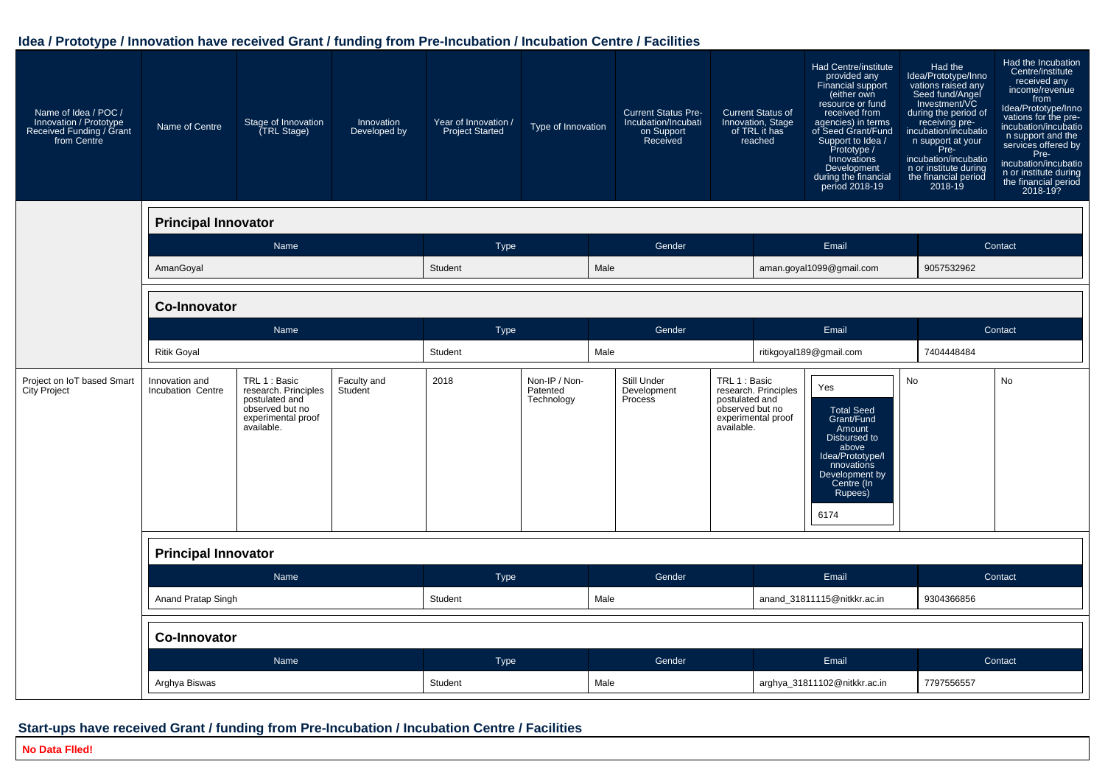#### **Idea / Prototype / Innovation have received Grant / funding from Pre-Incubation / Incubation Centre / Facilities**

| Name of Idea / POC /<br>Innovation / Prototype<br>Received Funding / Grant<br>from Centre | Name of Centre                      | Stage of Innovation<br>(TRL Stage)                                                                             | Innovation<br>Developed by | Year of Innovation /<br><b>Project Started</b> | Type of Innovation                      |      | <b>Current Status Pre-</b><br>Incubation/Incubati<br>on Support<br>Received |                                                                  | <b>Current Status of</b><br>Innovation, Stage<br>of TRL it has<br>reached | Had Centre/institute<br>provided any<br>Financial support<br>(either own<br>resource or fund<br>received from<br>agencies) in terms<br>of Seed Grant/Fund<br>Support to Idea /<br>Prototype /<br>Innovations<br>Development<br>during the financial<br>period 2018-19 | Had the<br>Idea/Prototype/Inno<br>vations raised any<br>Seed fund/Angel<br>Investment/VC<br>during the period of<br>receiving pre-<br>incubation/incubatio<br>n support at your<br>Pre-<br>incubation/incubatio<br>n or institute during<br>the financial period<br>2018-19 | Had the Incubation<br>Centre/institute<br>received any<br>income/revenue<br>from<br>Idea/Prototype/Inno<br>vations for the pre-<br>incubation/incubatio<br>n support and the<br>services offered by<br>Pre-<br>incubation/incubatio<br>n or institute during<br>the financial period<br>2018-19? |
|-------------------------------------------------------------------------------------------|-------------------------------------|----------------------------------------------------------------------------------------------------------------|----------------------------|------------------------------------------------|-----------------------------------------|------|-----------------------------------------------------------------------------|------------------------------------------------------------------|---------------------------------------------------------------------------|-----------------------------------------------------------------------------------------------------------------------------------------------------------------------------------------------------------------------------------------------------------------------|-----------------------------------------------------------------------------------------------------------------------------------------------------------------------------------------------------------------------------------------------------------------------------|--------------------------------------------------------------------------------------------------------------------------------------------------------------------------------------------------------------------------------------------------------------------------------------------------|
|                                                                                           | <b>Principal Innovator</b>          |                                                                                                                |                            |                                                |                                         |      |                                                                             |                                                                  |                                                                           |                                                                                                                                                                                                                                                                       |                                                                                                                                                                                                                                                                             |                                                                                                                                                                                                                                                                                                  |
|                                                                                           |                                     | Name                                                                                                           |                            | <b>Type</b>                                    |                                         |      | Gender                                                                      |                                                                  |                                                                           | Email                                                                                                                                                                                                                                                                 |                                                                                                                                                                                                                                                                             | Contact                                                                                                                                                                                                                                                                                          |
|                                                                                           | AmanGoyal                           |                                                                                                                |                            | Student                                        |                                         | Male |                                                                             |                                                                  |                                                                           | aman.goyal1099@gmail.com                                                                                                                                                                                                                                              | 9057532962                                                                                                                                                                                                                                                                  |                                                                                                                                                                                                                                                                                                  |
|                                                                                           | <b>Co-Innovator</b>                 |                                                                                                                |                            |                                                |                                         |      |                                                                             |                                                                  |                                                                           |                                                                                                                                                                                                                                                                       |                                                                                                                                                                                                                                                                             |                                                                                                                                                                                                                                                                                                  |
|                                                                                           |                                     | Name                                                                                                           |                            | <b>Type</b>                                    |                                         |      | Gender                                                                      |                                                                  |                                                                           | Email                                                                                                                                                                                                                                                                 |                                                                                                                                                                                                                                                                             | Contact                                                                                                                                                                                                                                                                                          |
|                                                                                           | <b>Ritik Goyal</b>                  |                                                                                                                |                            | Student                                        |                                         | Male |                                                                             |                                                                  |                                                                           | ritikgoyal189@gmail.com                                                                                                                                                                                                                                               | 7404448484                                                                                                                                                                                                                                                                  |                                                                                                                                                                                                                                                                                                  |
| Project on IoT based Smart<br>City Project                                                | Innovation and<br>Incubation Centre | TRL 1 : Basic<br>research. Principles<br>postulated and<br>observed but no<br>experimental proof<br>available. | Faculty and<br>Student     | 2018                                           | Non-IP / Non-<br>Patented<br>Technology |      | Still Under<br>Development<br>Process                                       | TRL 1 : Basic<br>postulated and<br>observed but no<br>available. | research. Principles<br>experimental proof                                | Yes<br><b>Total Seed</b><br>Grant/Fund<br>Amount<br>Disbursed to<br>above<br>Idea/Prototype/I<br>nnovations<br>Development by<br>Centre (In<br>Rupees)<br>6174                                                                                                        | No                                                                                                                                                                                                                                                                          | No                                                                                                                                                                                                                                                                                               |
|                                                                                           | <b>Principal Innovator</b>          |                                                                                                                |                            |                                                |                                         |      |                                                                             |                                                                  |                                                                           |                                                                                                                                                                                                                                                                       |                                                                                                                                                                                                                                                                             |                                                                                                                                                                                                                                                                                                  |
|                                                                                           |                                     | Name                                                                                                           |                            | Type                                           |                                         |      | Gender                                                                      |                                                                  |                                                                           | Email                                                                                                                                                                                                                                                                 |                                                                                                                                                                                                                                                                             | Contact                                                                                                                                                                                                                                                                                          |
|                                                                                           | Anand Pratap Singh                  |                                                                                                                |                            | Student                                        |                                         | Male |                                                                             |                                                                  |                                                                           | anand 31811115@nitkkr.ac.in                                                                                                                                                                                                                                           | 9304366856                                                                                                                                                                                                                                                                  |                                                                                                                                                                                                                                                                                                  |
|                                                                                           | <b>Co-Innovator</b>                 |                                                                                                                |                            |                                                |                                         |      |                                                                             |                                                                  |                                                                           |                                                                                                                                                                                                                                                                       |                                                                                                                                                                                                                                                                             |                                                                                                                                                                                                                                                                                                  |
|                                                                                           |                                     | Name                                                                                                           |                            | <b>Type</b>                                    |                                         |      | Gender                                                                      |                                                                  |                                                                           | Email                                                                                                                                                                                                                                                                 |                                                                                                                                                                                                                                                                             | Contact                                                                                                                                                                                                                                                                                          |
|                                                                                           | Arghya Biswas                       |                                                                                                                |                            | Student                                        |                                         | Male |                                                                             |                                                                  |                                                                           | arghya_31811102@nitkkr.ac.in                                                                                                                                                                                                                                          | 7797556557                                                                                                                                                                                                                                                                  |                                                                                                                                                                                                                                                                                                  |

#### **Start-ups have received Grant / funding from Pre-Incubation / Incubation Centre / Facilities**

**No Data Flled!**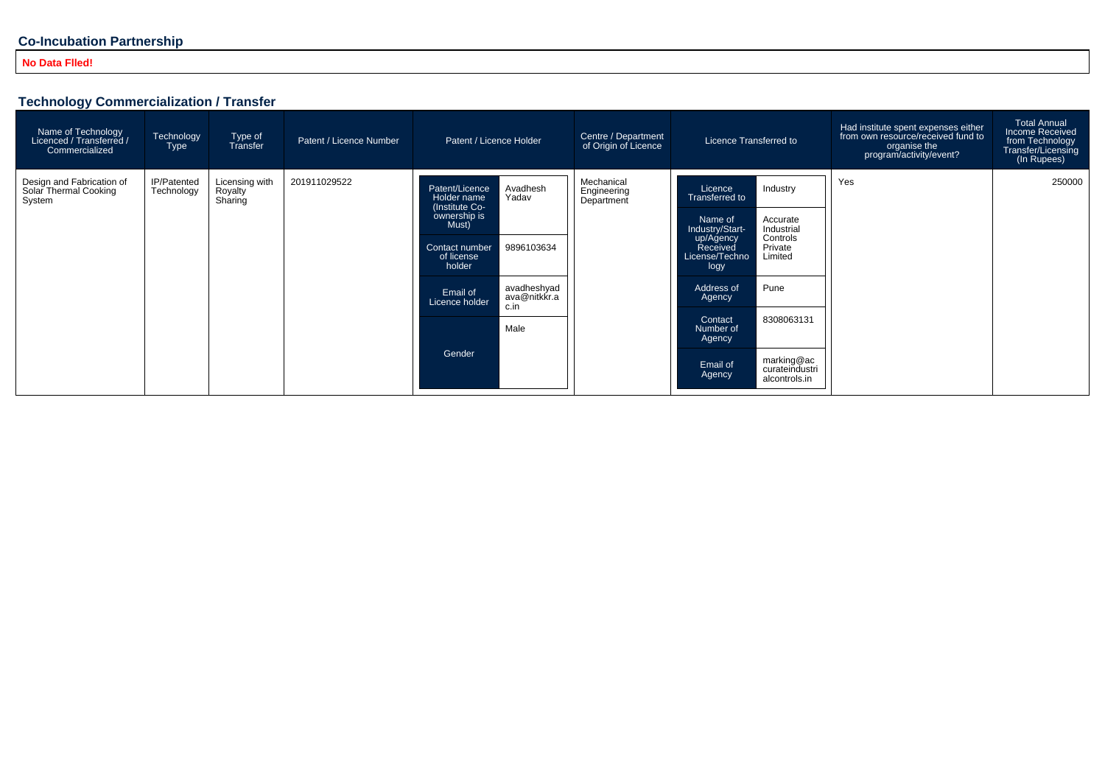#### **Co-Incubation Partnership**

#### **No Data Flled!**

#### **Technology Commercialization / Transfer**

| Name of Technology<br>// Licenced / Transferred<br>Commercialized | Technology<br>Type        | Type of<br>Transfer                  | Patent / Licence Number | Patent / Licence Holder                                                                       |                                         | Centre / Department<br>of Origin of Licence | Licence Transferred to                                                        |                                               | Had institute spent expenses either<br>from own resource/received fund to<br>organise the<br>program/activity/event? | <b>Total Annual</b><br>Income Received<br>from Technology<br>Transfer/Licensing<br>(In Rupees) |
|-------------------------------------------------------------------|---------------------------|--------------------------------------|-------------------------|-----------------------------------------------------------------------------------------------|-----------------------------------------|---------------------------------------------|-------------------------------------------------------------------------------|-----------------------------------------------|----------------------------------------------------------------------------------------------------------------------|------------------------------------------------------------------------------------------------|
| Design and Fabrication of<br>Solar Thermal Cooking<br>System      | IP/Patented<br>Technology | Licensing with<br>Royalty<br>Sharing | 201911029522            | Avadhesh<br>Patent/Licence<br>Holder name<br>Yadav<br>(Institute Co-<br>ownership is<br>Must) | Mechanical<br>Engineering<br>Department | Licence<br>Transferred to                   | Industry                                                                      | Yes                                           | 250000                                                                                                               |                                                                                                |
|                                                                   |                           |                                      |                         |                                                                                               |                                         |                                             | Name of<br>Industry/Start-<br>up/Agency<br>Received<br>License/Techno<br>logy | Accurate<br>Industrial                        |                                                                                                                      |                                                                                                |
|                                                                   |                           |                                      |                         | Contact number<br>of license<br>holder                                                        | 9896103634                              |                                             |                                                                               | Controls<br>Private<br>Limited                |                                                                                                                      |                                                                                                |
|                                                                   |                           |                                      |                         | Email of<br>Licence holder                                                                    | avadheshyad<br>ava@nitkkr.a<br>c.in     |                                             | Address of<br>Agency                                                          | Pune                                          |                                                                                                                      |                                                                                                |
|                                                                   |                           |                                      |                         | Gender                                                                                        | Male                                    |                                             | Contact<br>Number of<br>Agency                                                | 8308063131                                    |                                                                                                                      |                                                                                                |
|                                                                   |                           |                                      |                         |                                                                                               |                                         |                                             | Email of<br>Agency                                                            | marking@ac<br>curateindustri<br>alcontrols.in |                                                                                                                      |                                                                                                |